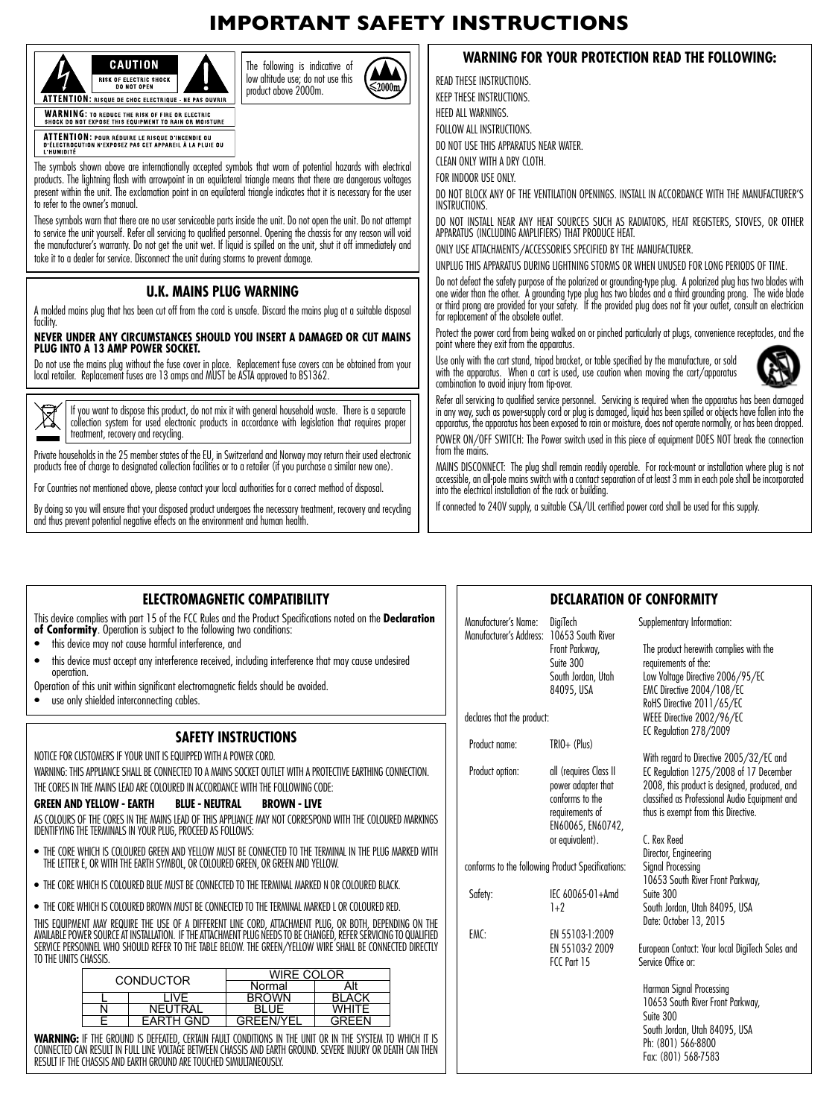## **IMPORTANT SAFETY INSTRUCTIONS**





The symbols shown above are internationally accepted symbols that warn of potential hazards with electrical products. The lightning flash with arrowpoint in an equilateral triangle means that there are dangerous voltages present within the unit. The exclamation point in an equilateral triangle indicates that it is necessary for the user to refer to the owner's manual.

These symbols warn that there are no user serviceable parts inside the unit. Do not open the unit. Do not attempt to service the unit yourself. Refer all servicing to qualified personnel. Opening the chassis for any reason will void the manufacturer's warranty. Do not get the unit wet. If liquid is spilled on the unit, shut it off immediately and take it to a dealer for service. Disconnect the unit during storms to prevent damage.

## **U.K. MAINS PLUG WARNING**

A molded mains plug that has been cut off from the cord is unsafe. Discard the mains plug at a suitable disposal facility.

### **NEVER UNDER ANY CIRCUMSTANCES SHOULD YOU INSERT A DAMAGED OR CUT MAINS PLUG INTO A 13 AMP POWER SOCKET.**

Do not use the mains plug without the fuse cover in place. Replacement fuse covers can be obtained from your local retailer. Replacement fuses are 13 amps and MUST be ASTA approved to BS1362.



If you want to dispose this product, do not mix it with general household waste. There is a separate collection system for used electronic products in accordance with legislation that requires proper treatment, recovery and recycling.

Private households in the 25 member states of the EU, in Switzerland and Norway may return their used electronic products free of charge to designated collection facilities or to a retailer (if you purchase a similar new one).

For Countries not mentioned above, please contact your local authorities for a correct method of disposal.

By doing so you will ensure that your disposed product undergoes the necessary treatment, recovery and recycling and thus prevent potential negative effects on the environment and human health.

### **WARNING FOR YOUR PROTECTION READ THE FOLLOWING:**

READ THESE INSTRUCTIONS. KEEP THESE INSTRUCTIONS. HEED ALL WARNINGS FOLLOW ALL INSTRUCTIONS. DO NOT USE THIS APPARATUS NEAR WATER. CLEAN ONLY WITH A DRY CLOTH. FOR INDOOR USE ONLY. DO NOT BLOCK ANY OF THE VENTILATION OPENINGS. INSTALL IN ACCORDANCE WITH THE MANUFACTURER'S INSTRUCTIONS. DO NOT INSTALL NEAR ANY HEAT SOURCES SUCH AS RADIATORS, HEAT REGISTERS, STOVES, OR OTHER APPARATUS (INCLUDING AMPLIFIERS) THAT PRODUCE HEAT. ONLY USE ATTACHMENTS/ACCESSORIES SPECIFIED BY THE MANUFACTURER. UNPLUG THIS APPARATUS DURING LIGHTNING STORMS OR WHEN UNUSED FOR LONG PERIODS OF TIME. Do not defeat the safety purpose of the polarized or grounding-type plug. A polarized plug has two blades with one wider than the other. A grounding type plug has two blades and a third grounding prong. The wide blade or third prong are provided for your safety. If the provided plug does not fit your outlet, consult an electrician for replacement of the obsolete outlet.

Protect the power cord from being walked on or pinched particularly at plugs, convenience receptacles, and the point where they exit from the apparatus.



Use only with the cart stand, tripod bracket, or table specified by the manufacture, or sold with the apparatus. When a cart is used, use caution when moving the cart/apparatus combination to avoid injury from tip-over. Refer all servicing to qualified service personnel. Servicing is required when the apparatus has been damaged

in any way, such as power-supply cord or plug is damaged, liquid has been spilled or objects have fallen into the apparatus, the apparatus has been exposed to rain or moisture, does not operate normally, or has been dropped.

POWER ON/OFF SWITCH: The Power switch used in this piece of equipment DOES NOT break the connection from the mains.

MAINS DISCONNECT: The plug shall remain readily operable. For rack-mount or installation where plug is not accessible, an all-pole mains switch with a contact separation of at least 3 mm in each pole shall be incorporated into the electrical installation of the rack or building.

If connected to 240V supply, a suitable CSA/UL certified power cord shall be used for this supply.

| ELECTROMAGNETIC COMPATIBILITY |  |
|-------------------------------|--|
|-------------------------------|--|

This device complies with part 15 of the FCC Rules and the Product Specifications noted on the **Declaration of Conformity**. Operation is subject to the following two conditions:

- this device may not cause harmful interference, and
- this device must accept any interference received, including interference that may cause undesired operation.
- Operation of this unit within significant electromagnetic fields should be avoided.
- use only shielded interconnecting cables.

## **SAFETY INSTRUCTIONS**

NOTICE FOR CUSTOMERS IF YOUR UNIT IS EQUIPPED WITH A POWER CORD.

WARNING: THIS APPLIANCE SHALL BE CONNECTED TO A MAINS SOCKET OUTLET WITH A PROTECTIVE FARTHING CONNECTION. THE CORES IN THE MAINS LEAD ARE COLOURED IN ACCORDANCE WITH THE FOLLOWING CODE:

### **GREEN AND YELLOW - EARTH BLUE - NEUTRAL BROWN - LIVE**

AS COLOURS OF THE CORES IN THE MAINS LEAD OF THIS APPLIANCE MAY NOT CORRESPOND WITH THE COLOURED MARKINGS IDENTIFYING THE TERMINALS IN YOUR PLUG, PROCEED AS FOLLOWS:

- THE CORE WHICH IS COLOURED GREEN AND YELLOW MUST BE CONNECTED TO THE TERMINAL IN THE PLUG MARKED WITH THE LETTER E, OR WITH THE EARTH SYMBOL, OR COLOURED GREEN, OR GREEN AND YELLOW.
- THE CORE WHICH IS COLOURED BLUE MUST BE CONNECTED TO THE TERMINAL MARKED N OR COLOURED BLACK.
- THE CORE WHICH IS COLOURED BROWN MUST BE CONNECTED TO THE TERMINAL MARKED L OR COLOURED RED.

THIS EQUIPMENT MAY REQUIRE THE USE OF A DIFFERENT LINE CORD, ATTACHMENT PLUG, OR BOTH, DEPENDING ON THE AVAILABLE POWER SOURCE AT INSTALLATION. IF THE ATTACHMENT PLUG NEEDS TO BE CHANGED, REFER SERVICING TO QUALIFIED SERVICE PERSONNEL WHO SHOULD REFER TO THE TABLE BELOW. THE GREEN/YELLOW WIRE SHALL BE CONNECTED DIRECTLY TO THE UNITS CHASSIS.

| <b>CONDUCTOR</b> |                  | <b>WIRE COLOR</b> |              |
|------------------|------------------|-------------------|--------------|
|                  |                  | Normal            |              |
|                  | I IVF            | <b>BROWN</b>      | <b>BLACK</b> |
|                  | <b>NEUTRAL</b>   |                   | <b>WHITE</b> |
|                  | <b>EARTH GND</b> | <b>GREEN/YEL</b>  | GREEN        |
|                  |                  |                   |              |

WARNING: IF THE GROUND IS DEFEATED, CERTAIN FAULT CONDITIONS IN THE UNIT OR IN THE SYSTEM TO WHICH IT IS CONNECTED CAN RESULT IN FULL LINE VOLTAGE BETWEEN CHASSIS AND EARTH GROUND. SEVERE INJURY OR DEATH CAN THEN RESULT IF THE CHASSIS AND EARTH GROUND ARE TOUCHED SIMULTANEOUSLY.

### **DECLARATION OF CONFORMITY**

| DigiTech       | Supplementary Information:                                                                                                                                                                                                                                                                                                                                                              |
|----------------|-----------------------------------------------------------------------------------------------------------------------------------------------------------------------------------------------------------------------------------------------------------------------------------------------------------------------------------------------------------------------------------------|
| Front Parkway, | The product herewith complies with the<br>requirements of the:                                                                                                                                                                                                                                                                                                                          |
|                | Low Voltage Directive 2006/95/EC                                                                                                                                                                                                                                                                                                                                                        |
|                | EMC Directive 2004/108/EC                                                                                                                                                                                                                                                                                                                                                               |
|                |                                                                                                                                                                                                                                                                                                                                                                                         |
|                | RoHS Directive 2011/65/EC<br>WEEE Directive 2002/96/EC                                                                                                                                                                                                                                                                                                                                  |
|                | EC Regulation 278/2009                                                                                                                                                                                                                                                                                                                                                                  |
|                |                                                                                                                                                                                                                                                                                                                                                                                         |
|                | With regard to Directive 2005/32/EC and                                                                                                                                                                                                                                                                                                                                                 |
|                | EC Regulation 1275/2008 of 17 December                                                                                                                                                                                                                                                                                                                                                  |
|                |                                                                                                                                                                                                                                                                                                                                                                                         |
|                | 2008, this product is designed, produced, and<br>classified as Professional Audio Equipment and                                                                                                                                                                                                                                                                                         |
|                |                                                                                                                                                                                                                                                                                                                                                                                         |
|                | thus is exempt from this Directive.                                                                                                                                                                                                                                                                                                                                                     |
|                | C. Rex Reed                                                                                                                                                                                                                                                                                                                                                                             |
|                |                                                                                                                                                                                                                                                                                                                                                                                         |
|                | Director, Engineering                                                                                                                                                                                                                                                                                                                                                                   |
|                | Signal Processing<br>10653 South River Front Parkway,                                                                                                                                                                                                                                                                                                                                   |
|                | Suite 300                                                                                                                                                                                                                                                                                                                                                                               |
|                | South Jordan, Utah 84095, USA                                                                                                                                                                                                                                                                                                                                                           |
|                |                                                                                                                                                                                                                                                                                                                                                                                         |
|                | Date: October 13, 2015                                                                                                                                                                                                                                                                                                                                                                  |
|                |                                                                                                                                                                                                                                                                                                                                                                                         |
|                | European Contact: Your local DigiTech Sales and<br>Service Office or:                                                                                                                                                                                                                                                                                                                   |
|                |                                                                                                                                                                                                                                                                                                                                                                                         |
|                | Harman Signal Processing                                                                                                                                                                                                                                                                                                                                                                |
|                | 10653 South River Front Parkway,                                                                                                                                                                                                                                                                                                                                                        |
|                | Suite 300                                                                                                                                                                                                                                                                                                                                                                               |
|                | South Jordan, Utah 84095, USA                                                                                                                                                                                                                                                                                                                                                           |
|                | Ph: (801) 566-8800                                                                                                                                                                                                                                                                                                                                                                      |
|                | Fax: (801) 568-7583                                                                                                                                                                                                                                                                                                                                                                     |
|                | 10653 South River<br>Suite 300<br>South Jordan, Utah<br>84095. USA<br>declares that the product:<br>$TRIO+ (Plus)$<br>all (requires Class II<br>power adapter that<br>conforms to the<br>requirements of<br>EN60065, EN60742,<br>or equivalent).<br>conforms to the following Product Specifications:<br>IFC 60065-01+Amd<br>$1+2$<br>EN 55103-1:2009<br>EN 55103-2 2009<br>FCC Part 15 |